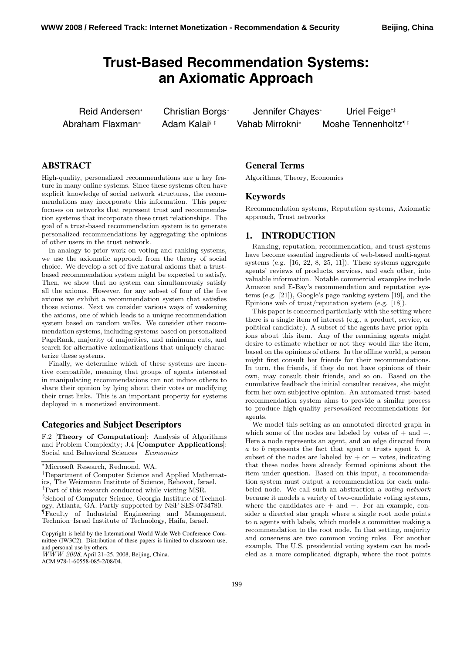# **Trust-Based Recommendation Systems: an Axiomatic Approach**

Reid Andersen<sup>∗</sup> Christian Borgs<sup>∗</sup> Jennifer Chayes<sup>∗</sup> Uriel Feige†‡ Abraham Flaxman∗ Adam Kalai<sup>§‡</sup> Vahab Mirrokni∗ Moshe Tennenholtz<sup>¶‡</sup>

# **ABSTRACT**

High-quality, personalized recommendations are a key feature in many online systems. Since these systems often have explicit knowledge of social network structures, the recommendations may incorporate this information. This paper focuses on networks that represent trust and recommendation systems that incorporate these trust relationships. The goal of a trust-based recommendation system is to generate personalized recommendations by aggregating the opinions of other users in the trust network.

In analogy to prior work on voting and ranking systems, we use the axiomatic approach from the theory of social choice. We develop a set of five natural axioms that a trustbased recommendation system might be expected to satisfy. Then, we show that no system can simultaneously satisfy all the axioms. However, for any subset of four of the five axioms we exhibit a recommendation system that satisfies those axioms. Next we consider various ways of weakening the axioms, one of which leads to a unique recommendation system based on random walks. We consider other recommendation systems, including systems based on personalized PageRank, majority of majorities, and minimum cuts, and search for alternative axiomatizations that uniquely characterize these systems.

Finally, we determine which of these systems are incentive compatible, meaning that groups of agents interested in manipulating recommendations can not induce others to share their opinion by lying about their votes or modifying their trust links. This is an important property for systems deployed in a monetized environment.

#### **Categories and Subject Descriptors**

F.2 [**Theory of Computation**]: Analysis of Algorithms and Problem Complexity; J.4 [**Computer Applications**]: Social and Behavioral Sciences—*Economics*

Copyright is held by the International World Wide Web Conference Committee (IW3C2). Distribution of these papers is limited to classroom use, and personal use by others.

*WWW 2008*, April 21–25, 2008, Beijing, China.

ACM 978-1-60558-085-2/08/04.

## **General Terms**

Algorithms, Theory, Economics

#### **Keywords**

Recommendation systems, Reputation systems, Axiomatic approach, Trust networks

# **1. INTRODUCTION**

Ranking, reputation, recommendation, and trust systems have become essential ingredients of web-based multi-agent systems (e.g.  $[16, 22, 8, 25, 11]$ ). These systems aggregate agents' reviews of products, services, and each other, into valuable information. Notable commercial examples include Amazon and E-Bay's recommendation and reputation systems (e.g. [21]), Google's page ranking system [19], and the Epinions web of trust/reputation system (e.g. [18]).

This paper is concerned particularly with the setting where there is a single item of interest (e.g., a product, service, or political candidate). A subset of the agents have prior opinions about this item. Any of the remaining agents might desire to estimate whether or not they would like the item, based on the opinions of others. In the offline world, a person might first consult her friends for their recommendations. In turn, the friends, if they do not have opinions of their own, may consult their friends, and so on. Based on the cumulative feedback the initial consulter receives, she might form her own subjective opinion. An automated trust-based recommendation system aims to provide a similar process to produce high-quality *personalized* recommendations for agents.

We model this setting as an annotated directed graph in which some of the nodes are labeled by votes of  $+$  and  $-$ . Here a node represents an agent, and an edge directed from a to b represents the fact that agent a trusts agent b. A subset of the nodes are labeled by  $+$  or  $-$  votes, indicating that these nodes have already formed opinions about the item under question. Based on this input, a recommendation system must output a recommendation for each unlabeled node. We call such an abstraction a *voting network* because it models a variety of two-candidate voting systems, where the candidates are + and −. For an example, consider a directed star graph where a single root node points to n agents with labels, which models a committee making a recommendation to the root node. In that setting, majority and consensus are two common voting rules. For another example, The U.S. presidential voting system can be modeled as a more complicated digraph, where the root points

<sup>∗</sup>Microsoft Research, Redmond, WA.

<sup>†</sup>Department of Computer Science and Applied Mathematics, The Weizmann Institute of Science, Rehovot, Israel. ‡Part of this research conducted while visiting MSR. <sup>§</sup>School of Computer Science, Georgia Institute of Technology, Atlanta, GA. Partly supported by NSF SES-0734780. ¶Faculty of Industrial Engineering and Management, Technion–Israel Institute of Technology, Haifa, Israel.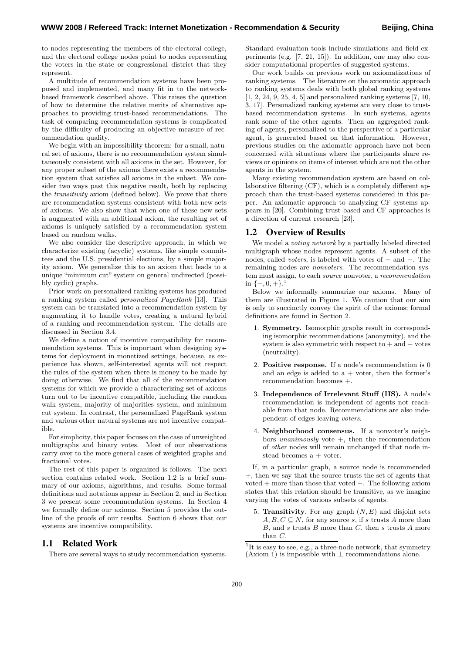to nodes representing the members of the electoral college, and the electoral college nodes point to nodes representing the voters in the state or congressional district that they represent.

A multitude of recommendation systems have been proposed and implemented, and many fit in to the networkbased framework described above. This raises the question of how to determine the relative merits of alternative approaches to providing trust-based recommendations. The task of comparing recommendation systems is complicated by the difficulty of producing an objective measure of recommendation quality.

We begin with an impossibility theorem: for a small, natural set of axioms, there is no recommendation system simultaneously consistent with all axioms in the set. However, for any proper subset of the axioms there exists a recommendation system that satisfies all axioms in the subset. We consider two ways past this negative result, both by replacing the *transitivity* axiom (defined below). We prove that there are recommendation systems consistent with both new sets of axioms. We also show that when one of these new sets is augmented with an additional axiom, the resulting set of axioms is uniquely satisfied by a recommendation system based on random walks.

We also consider the descriptive approach, in which we characterize existing (acyclic) systems, like simple committees and the U.S. presidential elections, by a simple majority axiom. We generalize this to an axiom that leads to a unique "minimum cut" system on general undirected (possibly cyclic) graphs.

Prior work on personalized ranking systems has produced a ranking system called *personalized PageRank* [13]. This system can be translated into a recommendation system by augmenting it to handle votes, creating a natural hybrid of a ranking and recommendation system. The details are discussed in Section 3.4.

We define a notion of incentive compatibility for recommendation systems. This is important when designing systems for deployment in monetized settings, because, as experience has shown, self-interested agents will not respect the rules of the system when there is money to be made by doing otherwise. We find that all of the recommendation systems for which we provide a characterizing set of axioms turn out to be incentive compatible, including the random walk system, majority of majorities system, and minimum cut system. In contrast, the personalized PageRank system and various other natural systems are not incentive compatible.

For simplicity, this paper focuses on the case of unweighted multigraphs and binary votes. Most of our observations carry over to the more general cases of weighted graphs and fractional votes.

The rest of this paper is organized is follows. The next section contains related work. Section 1.2 is a brief summary of our axioms, algorithms, and results. Some formal definitions and notations appear in Section 2, and in Section 3 we present some recommendation systems. In Section 4 we formally define our axioms. Section 5 provides the outline of the proofs of our results. Section 6 shows that our systems are incentive compatibility.

## **1.1 Related Work**

There are several ways to study recommendation systems.

Standard evaluation tools include simulations and field experiments (e.g. [7, 21, 15]). In addition, one may also consider computational properties of suggested systems.

Our work builds on previous work on axiomatizations of ranking systems. The literature on the axiomatic approach to ranking systems deals with both global ranking systems [1, 2, 24, 9, 25, 4, 5] and personalized ranking systems [7, 10, 3, 17]. Personalized ranking systems are very close to trustbased recommendation systems. In such systems, agents rank some of the other agents. Then an aggregated ranking of agents, personalized to the perspective of a particular agent, is generated based on that information. However, previous studies on the axiomatic approach have not been concerned with situations where the participants share reviews or opinions on items of interest which are not the other agents in the system.

Many existing recommendation system are based on collaborative filtering (CF), which is a completely different approach than the trust-based systems considered in this paper. An axiomatic approach to analyzing CF systems appears in [20]. Combining trust-based and CF approaches is a direction of current research [23].

#### **1.2 Overview of Results**

We model a *voting network* by a partially labeled directed multigraph whose nodes represent agents. A subset of the nodes, called *voters*, is labeled with votes of + and −. The remaining nodes are *nonvoters*. The recommendation system must assign, to each *source* nonvoter, a *recommendation* in  $\{-,0,+\}.^1$ 

Below we informally summarize our axioms. Many of them are illustrated in Figure 1. We caution that our aim is only to succinctly convey the spirit of the axioms; formal definitions are found in Section 2.

- 1. **Symmetry.** Isomorphic graphs result in corresponding isomorphic recommendations (anonymity), and the system is also symmetric with respect to  $+$  and  $-$  votes (neutrality).
- 2. **Positive response.** If a node's recommendation is 0 and an edge is added to  $a +$  voter, then the former's recommendation becomes +.
- 3. **Independence of Irrelevant Stuff (IIS).** A node's recommendation is independent of agents not reachable from that node. Recommendations are also independent of edges leaving *voters*.
- 4. **Neighborhood consensus.** If a nonvoter's neighbors *unanimously* vote  $+$ , then the recommendation of *other* nodes will remain unchanged if that node instead becomes a + voter.

If, in a particular graph, a source node is recommended +, then we say that the source trusts the set of agents that voted + more than those that voted −. The following axiom states that this relation should be transitive, as we imagine varying the votes of various subsets of agents.

5. **Transitivity**. For any graph  $(N, E)$  and disjoint sets  $A, B, C \subseteq N$ , for any source s, if s trusts A more than  $B$ , and s trusts  $B$  more than  $C$ , then s trusts  $A$  more than C.

<sup>&</sup>lt;sup>1</sup>It is easy to see, e.g., a three-node network, that symmetry (Axiom 1) is impossible with  $\pm$  recommendations alone.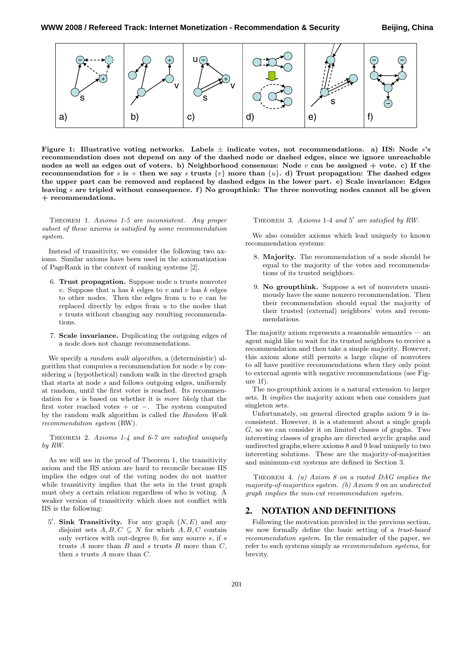

**Figure 1: Illustrative voting networks. Labels** ± **indicate votes, not recommendations. a) IIS: Node** s**'s recommendation does not depend on any of the dashed node or dashed edges, since we ignore unreachable nodes as well as edges out of voters. b) Neighborhood consensus: Node** v **can be assigned + vote. c) If the recommendation for** s is + **then** we say s **trusts**  $\{v\}$  more than  $\{u\}$ . d) Trust propagation: The dashed edges **the upper part can be removed and replaced by dashed edges in the lower part. e) Scale invariance: Edges leaving** s **are tripled without consequence. f) No groupthink: The three nonvoting nodes cannot all be given + recommendations.**

Theorem 1. *Axioms 1-5 are inconsistent. Any proper subset of these axioms is satisfied by some recommendation system.*

Instead of transitivity, we consider the following two axioms. Similar axioms have been used in the axiomatization of PageRank in the context of ranking systems [2].

- 6. **Trust propagation.** Suppose node u trusts nonvoter  $v.$  Suppose that  $u$  has  $k$  edges to  $v$  and  $v$  has  $k$  edges to other nodes. Then the edges from  $u$  to  $v$  can be replaced directly by edges from  $u$  to the nodes that v trusts without changing any resulting recommendations.
- 7. **Scale invariance.** Duplicating the outgoing edges of a node does not change recommendations.

We specify a *random walk algorithm*, a (deterministic) algorithm that computes a recommendation for node s by considering a (hypothetical) random walk in the directed graph that starts at node s and follows outgoing edges, uniformly at random, until the first voter is reached. Its recommendation for s is based on whether it is *more likely* that the first voter reached votes + or −. The system computed by the random walk algorithm is called the *Random Walk recommendation system* (RW).

Theorem 2. *Axioms 1-4 and 6-7 are satisfied uniquely by RW.*

As we will see in the proof of Theorem 1, the transitivity axiom and the IIS axiom are hard to reconcile because IIS implies the edges out of the voting nodes do not matter while transitivity implies that the sets in the trust graph must obey a certain relation regardless of who is voting. A weaker version of transitivity which does not conflict with IIS is the following:

5'. **Sink Transitivity.** For any graph  $(N, E)$  and any disjoint sets  $A, B, C \subseteq N$  for which  $A, B, C$  contain only vertices with out-degree  $0$ , for any source  $s$ , if  $s$ trusts  $A$  more than  $B$  and  $s$  trusts  $B$  more than  $C$ , then s trusts A more than C.

THEOREM 3. Axioms 1-4 and 5' are satisfied by RW.

We also consider axioms which lead uniquely to known recommendation systems:

- 8. **Majority.** The recommendation of a node should be equal to the majority of the votes and recommendations of its trusted neighbors.
- 9. **No groupthink.** Suppose a set of nonvoters unanimously have the same nonzero recommendation. Then their recommendation should equal the majority of their trusted (external) neighbors' votes and recommendations.

The majority axiom represents a reasonable semantics — an agent might like to wait for its trusted neighbors to receive a recommendation and then take a simple majority. However, this axiom alone still permits a large clique of nonvoters to all have positive recommendations when they only point to external agents with negative recommendations (see Figure 1f).

The no-groupthink axiom is a natural extension to larger sets. It *implies* the majority axiom when one considers just singleton sets.

Unfortunately, on general directed graphs axiom 9 is inconsistent. However, it is a statement about a single graph G, so we can consider it on limited classes of graphs. Two interesting classes of graphs are directed acyclic graphs and undirected graphs,where axioms 8 and 9 lead uniquely to two interesting solutions. These are the majority-of-majorities and minimum-cut systems are defined in Section 3.

Theorem 4. *(a) Axiom 8 on a rooted DAG implies the majority-of-majorities system. (b) Axiom 9 on an undirected graph implies the min-cut recommendation system.*

#### **2. NOTATION AND DEFINITIONS**

Following the motivation provided in the previous section, we now formally define the basic setting of a *trust-based recommendation system*. In the remainder of the paper, we refer to such systems simply as *recommendation systems*, for brevity.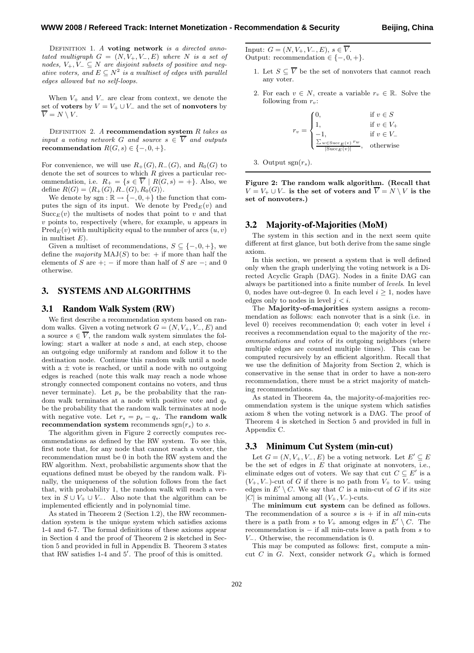Definition 1. *A* **voting network** *is a directed anno* $tated$  multigraph  $G = (N, V_+, V_-, E)$  where N is a set of *nodes,*  $V_+, V_- \subseteq N$  *are disjoint subsets of positive and negative voters, and*  $E \subseteq N^2$  *is a multiset of edges with parallel edges allowed but no self-loops.*

When  $V_+$  and  $V_-\$ are clear from context, we denote the set of **voters** by  $V = V_+ \cup V_-$  and the set of **nonvoters** by  $\overline{V} = N \setminus V$ .

Definition 2. *A* **recommendation system** R *takes as input a voting network* G *and source*  $s \in \overline{V}$  *and outputs* **recommendation**  $R(G, s) \in \{-, 0, +\}.$ 

For convenience, we will use  $R_+(G)$ ,  $R_-(G)$ , and  $R_0(G)$  to denote the set of sources to which  $R$  gives a particular recommendation, i.e.  $R_+ = \{s \in V \mid R(G, s) = +\}.$  Also, we define  $R(G) = \langle R_+(G), R_-(G), R_0(G) \rangle$ .

We denote by sgn :  $\mathbb{R} \to \{-, 0, +\}$  the function that computes the sign of its input. We denote by  $\text{Pred}_E(v)$  and  $Succ_{E}(v)$  the multisets of nodes that point to v and that  $v$  points to, respectively (where, for example,  $u$  appears in  $Pred_E(v)$  with multiplicity equal to the number of arcs  $(u, v)$ in multiset  $E$ ).

Given a multiset of recommendations,  $S \subseteq \{-,0,+\}$ , we define the *majority*  $MAJ(S)$  to be: + if more than half the elements of S are  $+$ ;  $-$  if more than half of S are  $-$ ; and 0 otherwise.

## **3. SYSTEMS AND ALGORITHMS**

#### **3.1 Random Walk System (RW)**

We first describe a recommendation system based on random walks. Given a voting network  $G = (N, V_+, V_-, E)$  and a source  $s \in \overline{V}$ , the random walk system simulates the following: start a walker at node s and, at each step, choose an outgoing edge uniformly at random and follow it to the destination node. Continue this random walk until a node with a  $\pm$  vote is reached, or until a node with no outgoing edges is reached (note this walk may reach a node whose strongly connected component contains no voters, and thus never terminate). Let  $p_s$  be the probability that the random walk terminates at a node with positive vote and  $q_s$ be the probability that the random walk terminates at node with negative vote. Let  $r_s = p_s - q_s$ . The **random walk recommendation system** recommends  $sgn(r_s)$  to s.

The algorithm given in Figure 2 correctly computes recommendations as defined by the RW system. To see this, first note that, for any node that cannot reach a voter, the recommendation must be 0 in both the RW system and the RW algorithm. Next, probabilistic arguments show that the equations defined must be obeyed by the random walk. Finally, the uniqueness of the solution follows from the fact that, with probability 1, the random walk will reach a vertex in  $S \cup V_+ \cup V_-.$  Also note that the algorithm can be implemented efficiently and in polynomial time.

As stated in Theorem 2 (Section 1.2), the RW recommendation system is the unique system which satisfies axioms 1-4 and 6-7. The formal definitions of these axioms appear in Section 4 and the proof of Theorem 2 is sketched in Section 5 and provided in full in Appendix B. Theorem 3 states that RW satisfies 1-4 and 5 . The proof of this is omitted.

Input:  $G = (N, V_+, V_-, E), s \in \overline{V}$ . Output: recommendation  $\in \{-,0,+\}.$ 

- 1. Let  $S \subseteq \overline{V}$  be the set of nonvoters that cannot reach any voter.
- 2. For each  $v \in N$ , create a variable  $r_v \in \mathbb{R}$ . Solve the following from  $r_v$ :

$$
r_v = \begin{cases} 0, & \text{if } v \in S \\ 1, & \text{if } v \in V_+ \\ -1, & \text{if } v \in V_- \\ \frac{\sum_{w \in \text{Succ}_E(v)} r_w}{|\text{Succ}_E(v)|}, & \text{otherwise} \end{cases}
$$

3. Output  $sgn(r_s)$ .

**Figure 2: The random walk algorithm. (Recall that**  $V = V_+ \cup V_-$  is the set of voters and  $\overline{V} = N \setminus V$  is the **set of nonvoters.)**

#### **3.2 Majority-of-Majorities (MoM)**

The system in this section and in the next seem quite different at first glance, but both derive from the same single axiom.

In this section, we present a system that is well defined only when the graph underlying the voting network is a Directed Acyclic Graph (DAG). Nodes in a finite DAG can always be partitioned into a finite number of *levels*. In level 0, nodes have out-degree 0. In each level  $i \geq 1$ , nodes have edges only to nodes in level  $i < i$ .

The **Majority-of-majorities** system assigns a recommendation as follows: each nonvoter that is a sink (i.e. in level 0) receives recommendation 0; each voter in level i receives a recommendation equal to the majority of the *recommendations and votes* of its outgoing neighbors (where multiple edges are counted multiple times). This can be computed recursively by an efficient algorithm. Recall that we use the definition of Majority from Section 2, which is conservative in the sense that in order to have a non-zero recommendation, there must be a strict majority of matching recommendations.

As stated in Theorem 4a, the majority-of-majorities recommendation system is the unique system which satisfies axiom 8 when the voting network is a DAG. The proof of Theorem 4 is sketched in Section 5 and provided in full in Appendix C.

#### **3.3 Minimum Cut System (min-cut)**

Let  $G = (N, V_+, V_-, E)$  be a voting network. Let  $E' \subseteq E$ be the set of edges in  $E$  that originate at nonvoters, i.e., eliminate edges out of voters. We say that cut  $C \subseteq E'$  is a  $(V_+, V_-)$ -cut of G if there is no path from  $V_+$  to  $V_-$  using edges in  $E' \setminus C$ . We say that C is a min-cut of G if its *size* |C| is minimal among all  $(V_+, V_-)$ -cuts.

The **minimum cut system** can be defined as follows. The recommendation of a source  $s$  is  $+$  if in *all* min-cuts there is a path from s to  $V_+$  among edges in  $E' \setminus C$ . The recommendation is  $-$  if all min-cuts leave a path from  $s$  to V−. Otherwise, the recommendation is 0.

This may be computed as follows: first, compute a mincut C in G. Next, consider network  $G_{+}$  which is formed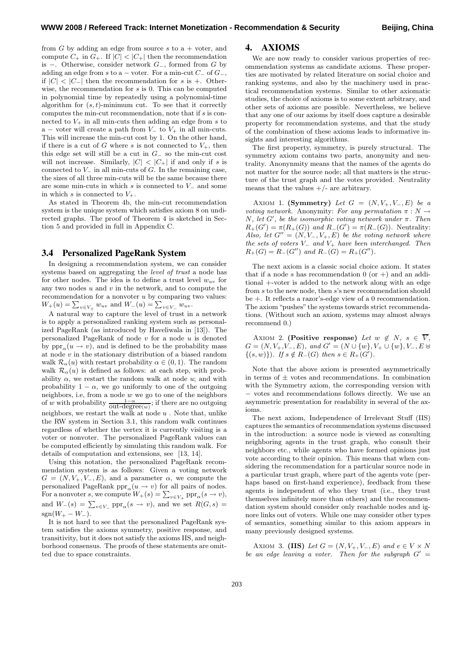from  $G$  by adding an edge from source  $s$  to  $a +$  voter, and compute  $C_+$  in  $G_+$ . If  $|C| < |C_+|$  then the recommendation is −. Otherwise, consider network G−, formed from G by adding an edge from s to a – voter. For a min-cut  $C_$  of  $G_$ , if  $|C|$  <  $|C_-\rangle$  then the recommendation for s is +. Otherwise, the recommendation for s is 0. This can be computed in polynomial time by repeatedly using a polynomial-time algorithm for  $(s, t)$ -minimum cut. To see that it correctly computes the min-cut recommendation, note that if s is connected to  $V_+$  in all min-cuts then adding an edge from s to a – voter will create a path from  $V_$  to  $V_+$  in all min-cuts. This will increase the min-cut cost by 1. On the other hand, if there is a cut of G where s is not connected to  $V_{+}$ , then this edge set will still be a cut in  $G_-\,$  so the min-cut cost will not increase. Similarly,  $|C|$  <  $|C_+|$  if and only if s is connected to  $V_$  in all min-cuts of  $G$ . In the remaining case, the sizes of all three min-cuts will be the same because there are some min-cuts in which s is connected to  $V_-\$  and some in which s is connected to  $V_+$ .

As stated in Theorem 4b, the min-cut recommendation system is the unique system which satisfies axiom 8 on undirected graphs. The proof of Theorem 4 is sketched in Section 5 and provided in full in Appendix C.

#### **3.4 Personalized PageRank System**

In designing a recommendation system, we can consider systems based on aggregating the *level of trust* a node has for other nodes. The idea is to define a trust level  $w_{uv}$  for any two nodes  $u$  and  $v$  in the network, and to compute the recommendation for a nonvoter  $u$  by comparing two values:  $W_+(u) = \sum_{v \in V_+} w_{uv}$  and  $W_-(u) = \sum_{v \in V_-} w_{uv}$ .

A natural way to capture the level of trust in a network is to apply a personalized ranking system such as personalized PageRank (as introduced by Haveliwala in [13]). The personalized PageRank of node  $v$  for a node  $u$  is denoted by  $ppr_{\alpha}(u \to v)$ , and is defined to be the probability mass at node v in the stationary distribution of a biased random walk  $\mathcal{R}_{\alpha}(u)$  with restart probability  $\alpha \in (0,1)$ . The random walk  $\mathcal{R}_{\alpha}(u)$  is defined as follows: at each step, with probability  $\alpha$ , we restart the random walk at node  $u$ ; and with probability  $1 - \alpha$ , we go uniformly to one of the outgoing neighbors, i.e, from a node  $w$  we go to one of the neighbors of w with probability  $\frac{1-\alpha}{\text{out-degree}(w)}$ ; if there are no outgoing neighbors, we restart the walk at node  $u$ . Note that, unlike the RW system in Section 3.1, this random walk continues regardless of whether the vertex it is currently visiting is a voter or nonvoter. The personalized PageRank values can be computed efficiently by simulating this random walk. For details of computation and extensions, see [13, 14].

Using this notation, the personalized PageRank recommendation system is as follows: Given a voting network  $G = (N, V_+, V_-, E)$ , and a parameter  $\alpha$ , we compute the personalized PageRank  $\text{ppr}_{\alpha}(u \rightarrow v)$  for all pairs of nodes. For a nonvoter s, we compute  $W_+(s) = \sum_{v \in V_+} \text{ppr}_\alpha(s \to v),$ and  $W_-(s) = \sum_{v \in V_-} \text{ppr}_{\alpha}(s \to v)$ , and we set  $R(G, s) =$  $sgn(W_{+} - W_{-}).$ 

It is not hard to see that the personalized PageRank system satisfies the axioms symmetry, positive response, and transitivity, but it does not satisfy the axioms IIS, and neighborhood consensus. The proofs of these statements are omitted due to space constraints.

#### **4. AXIOMS**

We are now ready to consider various properties of recommendation systems as candidate axioms. These properties are motivated by related literature on social choice and ranking systems, and also by the machinery used in practical recommendation systems. Similar to other axiomatic studies, the choice of axioms is to some extent arbitrary, and other sets of axioms are possible. Nevertheless, we believe that any one of our axioms by itself does capture a desirable property for recommendation systems, and that the study of the combination of these axioms leads to informative insights and interesting algorithms.

The first property, symmetry, is purely structural. The symmetry axiom contains two parts, anonymity and neutrality. Anonynmity means that the names of the agents do not matter for the source node; all that matters is the structure of the trust graph and the votes provided. Neutrality means that the values  $+/-$  are arbitrary.

AXIOM 1. **(Symmetry)** Let  $G = (N, V_+, V_-, E)$  be a *voting network.* Anonymity: *For any permutation*  $\pi : N \rightarrow$ N*, let* G *, be the isomorphic voting network under* π*. Then*  $R_+(G') = \pi(R_+(G))$  and  $R_-(G') = \pi(R_-(G))$ . Neutrality: *Also, let*  $G'' = (N, V_-, V_+, E)$  *be the voting network where the sets of voters* V<sup>−</sup> *and* V<sup>+</sup> *have been interchanged. Then*  $R_+(G) = R_-(G'')$  and  $R_-(G) = R_+(G'').$ 

The next axiom is a classic social choice axiom. It states that if a node s has recommendation  $0$  (or  $+)$  and an additional +-voter is added to the network along with an edge from s to the new node, then s's new recommendation should be +. It reflects a razor's-edge view of a 0 recommendation. The axiom "pushes" the systems towards strict recommendations. (Without such an axiom, systems may almost always recommend 0.)

AXIOM 2. **(Positive response)** Let  $w \notin N$ ,  $s \in \overline{V}$ ,  $G = (N, V_+, V_-, E)$ *, and*  $G' = (N ∪ {w}$ ,  $V_+ ∪ {w}$ ,  $V_-, E ⊕$  $\{(s, w)\}\)$ *. If*  $s \notin R_-(G)$  then  $s \in R_+(G')$ *.* 

Note that the above axiom is presented asymmetrically in terms of  $\pm$  votes and recommendations. In combination with the Symmetry axiom, the corresponding version with − votes and recommendations follows directly. We use an asymmetric presentation for readability in several of the axioms.

The next axiom, Independence of Irrelevant Stuff (IIS) captures the semantics of recommendation systems discussed in the introduction: a source node is viewed as consulting neighboring agents in the trust graph, who consult their neighbors etc., while agents who have formed opinions just vote according to their opinion. This means that when considering the recommendation for a particular source node in a particular trust graph, where part of the agents vote (perhaps based on first-hand experience), feedback from these agents is independent of who they trust (i.e., they trust themselves infinitely more than others) and the recommendation system should consider only reachable nodes and ignore links out of voters. While one may consider other types of semantics, something similar to this axiom appears in many previously designed systems.

AXIOM 3. **(IIS)** Let  $G = (N, V_+, V_-, E)$  and  $e \in V \times N$ *be an edge leaving a voter. Then for the subgraph*  $G' =$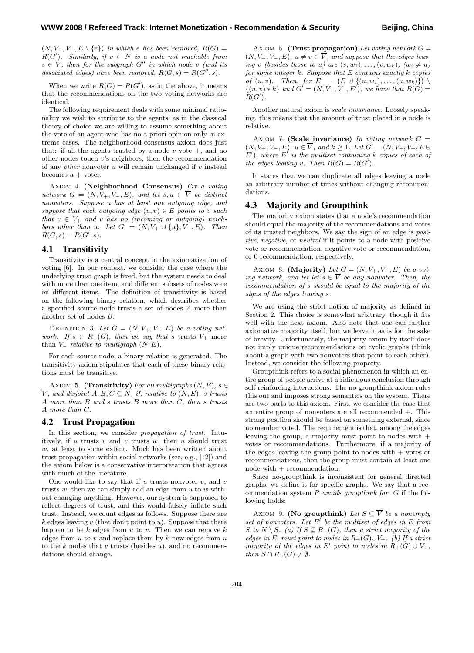$(N, V_+, V_-, E \setminus \{e\})$  *in which e has been removed,*  $R(G)$  =  $R(G')$ *. Similarly, if*  $v \in N$  *is a node not reachable from*  $s \in V$ , then for the subgraph  $G''$  in which node v (and its *associated edges) have been removed,*  $R(G, s) = R(G'', s)$ .

When we write  $R(G) = R(G')$ , as in the above, it means that the recommendations on the two voting networks are identical.

The following requirement deals with some minimal rationality we wish to attribute to the agents; as in the classical theory of choice we are willing to assume something about the vote of an agent who has no a priori opinion only in extreme cases. The neighborhood-consensus axiom does just that: if all the agents trusted by a node v vote  $+$ , and no other nodes touch v's neighbors, then the recommendation of any *other* nonvoter u will remain unchanged if v instead becomes a + voter.

Axiom 4. **(Neighborhood Consensus)** *Fix a voting network*  $G = (N, V_+, V_-, E)$ *, and let*  $s, u \in \overline{V}$  *be distinct nonvoters. Suppose* u *has at least one outgoing edge, and suppose that each outgoing edge*  $(u, v) \in E$  *points to v such that*  $v \in V_+$  *and*  $v$  *has no (incoming or outgoing) neighbors other than* u. Let  $G' = (N, V_+ \cup \{u\}, V_-, E)$ . Then  $R(G, s) = R(G', s).$ 

#### **4.1 Transitivity**

Transitivity is a central concept in the axiomatization of voting [6]. In our context, we consider the case where the underlying trust graph is fixed, but the system needs to deal with more than one item, and different subsets of nodes vote on different items. The definition of transitivity is based on the following binary relation, which describes whether a specified source node trusts a set of nodes A more than another set of nodes B.

DEFINITION 3. Let  $G = (N, V_+, V_-, E)$  be a voting net*work.* If  $s \in R_+(G)$ , then we say that s trusts  $V_+$  more than  $V_$ *relative to multigraph*  $(N, E)$ *.* 

For each source node, a binary relation is generated. The transitivity axiom stipulates that each of these binary relations must be transitive.

AXIOM 5. **(Transitivity)** *For all multigraphs*  $(N, E)$ *, s*  $\in$  $\overline{V}$ *, and disjoint*  $A, B, C \subseteq N$ *, if, relative to*  $(N, E)$ *, s trusts* A *more than* B *and* s *trusts* B *more than* C*, then* s *trusts* A *more than* C*.*

#### **4.2 Trust Propagation**

In this section, we consider *propagation of trust*. Intuitively, if u trusts v and v trusts w, then u should trust w, at least to some extent. Much has been written about trust propagation within social networks (see, e.g., [12]) and the axiom below is a conservative interpretation that agrees with much of the literature.

One would like to say that if  $u$  trusts nonvoter  $v$ , and  $v$ trusts w, then we can simply add an edge from  $u$  to  $w$  without changing anything. However, our system is supposed to reflect degrees of trust, and this would falsely inflate such trust. Instead, we count edges as follows. Suppose there are  $k$  edges leaving v (that don't point to u). Suppose that there happen to be  $k$  edges from  $u$  to  $v$ . Then we can remove  $k$ edges from  $u$  to  $v$  and replace them by  $k$  new edges from  $u$ to the k nodes that v trusts (besides  $u$ ), and no recommendations should change.

AXIOM 6. **(Trust propagation)** Let voting network  $G =$  $(N, V_+, V_-, E), u \neq v \in \overline{V}$ , and suppose that the edges leav*ing* v (besides those to u) are  $(v, w_1), \ldots, (v, w_k), (w_i \neq u)$ *for some integer* k*. Suppose that* E *contains exactly* k *copies of*  $(u, v)$ *. Then, for*  $E' = (E \oplus \{(u, w_1), \ldots, (u, w_k)\})$  $\{(u, v) * k\}$  and  $G' = (N, V_+, V_-, E')$ , we have that  $R(G) =$  $R(G^{\prime}).$ 

Another natural axiom is *scale invariance*. Loosely speaking, this means that the amount of trust placed in a node is relative.

AXIOM 7. **(Scale invariance)** In voting network  $G =$  $(N, V_+, V_-, E), u \in V$ *, and*  $k \ge 1$ *. Let*  $G' = (N, V_+, V_-, E \cup$  $E'$ ), where  $E'$  is the multiset containing  $k$  copies of each of *the edges leaving* v. Then  $R(G) = R(G')$ .

It states that we can duplicate all edges leaving a node an arbitrary number of times without changing recommendations.

#### **4.3 Majority and Groupthink**

The majority axiom states that a node's recommendation should equal the majority of the recommendations and votes of its trusted neighbors. We say the sign of an edge is *positive*, *negative*, or *neutral* if it points to a node with positive vote or recommendation, negative vote or recommendation, or 0 recommendation, respectively.

AXIOM 8. **(Majority)** *Let*  $G = (N, V_+, V_-, E)$  *be a voting network, and let let*  $s \in \overline{V}$  *be any nonvoter. Then, the recommendation of* s *should be equal to the majority of the signs of the edges leaving* s*.*

We are using the strict notion of majority as defined in Section 2. This choice is somewhat arbitrary, though it fits well with the next axiom. Also note that one can further axiomatize majority itself, but we leave it as is for the sake of brevity. Unfortunately, the majority axiom by itself does not imply unique recommendations on cyclic graphs (think about a graph with two nonvoters that point to each other). Instead, we consider the following property.

Groupthink refers to a social phenomenon in which an entire group of people arrive at a ridiculous conclusion through self-reinforcing interactions. The no-groupthink axiom rules this out and imposes strong semantics on the system. There are two parts to this axiom. First, we consider the case that an entire group of nonvoters are all recommended  $+$ . This strong position should be based on something external, since no member voted. The requirement is that, among the edges leaving the group, a majority must point to nodes with  $+$ votes or recommendations. Furthermore, if a majority of the edges leaving the group point to nodes with  $+$  votes or recommendations, then the group must contain at least one node with  $+$  recommendation.

Since no-groupthink is inconsistent for general directed graphs, we define it for specific graphs. We say that a recommendation system R *avoids groupthink for* G if the following holds:

AXIOM 9. **(No groupthink)** Let  $S \subseteq \overline{V}$  be a nonempty *set of nonvoters. Let*  $E'$  *be the multiset of edges in*  $E$  *from* S to  $N \setminus S$ *. (a)* If  $S \subseteq R_+(G)$ *, then a strict majority of the edges in* E' must point to nodes in  $R_+(G) \cup V_+$ *. (b)* If a strict *majority of the edges in* E' *point to nodes in*  $R_+(G) \cup V_+$ *, then*  $S \cap R_+(G) \neq \emptyset$ *.*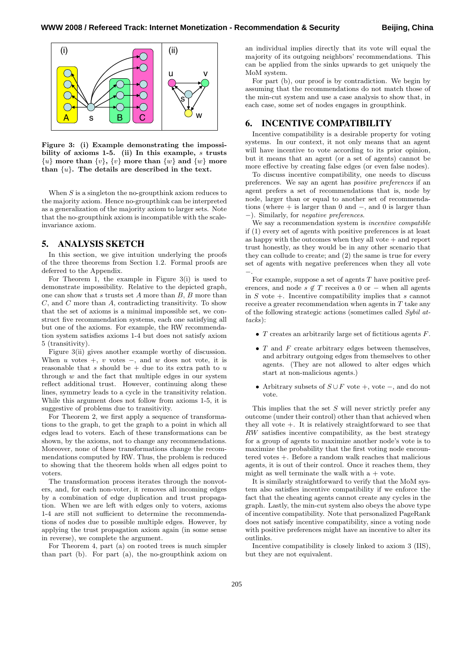

**Figure 3: (i) Example demonstrating the impossibility of axioms 1-5. (ii) In this example,** s **trusts**  $\{u\}$  more than  $\{v\}$ ,  $\{v\}$  more than  $\{w\}$  and  $\{w\}$  more **than** {u}**. The details are described in the text.**

When  $S$  is a singleton the no-groupthink axiom reduces to the majority axiom. Hence no-groupthink can be interpreted as a generalization of the majority axiom to larger sets. Note that the no-groupthink axiom is incompatible with the scaleinvariance axiom.

#### **5. ANALYSIS SKETCH**

In this section, we give intuition underlying the proofs of the three theorems from Section 1.2. Formal proofs are deferred to the Appendix.

For Theorem 1, the example in Figure 3(i) is used to demonstrate impossibility. Relative to the depicted graph, one can show that s trusts set  $A$  more than  $B$ ,  $B$  more than C, and C more than A, contradicting transitivity. To show that the set of axioms is a minimal impossible set, we construct five recommendation systems, each one satisfying all but one of the axioms. For example, the RW recommendation system satisfies axioms 1-4 but does not satisfy axiom 5 (transitivity).

Figure 3(ii) gives another example worthy of discussion. When  $u$  votes +,  $v$  votes -, and  $w$  does not vote, it is reasonable that  $s$  should be  $+$  due to its extra path to  $u$ through  $w$  and the fact that multiple edges in our system reflect additional trust. However, continuing along these lines, symmetry leads to a cycle in the transitivity relation. While this argument does not follow from axioms 1-5, it is suggestive of problems due to transitivity.

For Theorem 2, we first apply a sequence of transformations to the graph, to get the graph to a point in which all edges lead to voters. Each of these transformations can be shown, by the axioms, not to change any recommendations. Moreover, none of these transformations change the recommendations computed by RW. Thus, the problem is reduced to showing that the theorem holds when all edges point to voters.

The transformation process iterates through the nonvoters, and, for each non-voter, it removes all incoming edges by a combination of edge duplication and trust propagation. When we are left with edges only to voters, axioms 1-4 are still not sufficient to determine the recommendations of nodes due to possible multiple edges. However, by applying the trust propagation axiom again (in some sense in reverse), we complete the argument.

For Theorem 4, part (a) on rooted trees is much simpler than part (b). For part (a), the no-groupthink axiom on an individual implies directly that its vote will equal the majority of its outgoing neighbors' recommendations. This can be applied from the sinks upwards to get uniquely the MoM system.

For part (b), our proof is by contradiction. We begin by assuming that the recommendations do not match those of the min-cut system and use a case analysis to show that, in each case, some set of nodes engages in groupthink.

#### **6. INCENTIVE COMPATIBILITY**

Incentive compatibility is a desirable property for voting systems. In our context, it not only means that an agent will have incentive to vote according to its prior opinion, but it means that an agent (or a set of agents) cannot be more effective by creating false edges (or even false nodes).

To discuss incentive compatibility, one needs to discuss preferences. We say an agent has *positive preferences* if an agent prefers a set of recommendations that is, node by node, larger than or equal to another set of recommendations (where  $+$  is larger than 0 and  $-$ , and 0 is larger than −). Similarly, for *negative preferences*.

We say a recommendation system is *incentive compatible* if (1) every set of agents with positive preferences is at least as happy with the outcomes when they all vote  $+$  and report trust honestly, as they would be in any other scenario that they can collude to create; and (2) the same is true for every set of agents with negative preferences when they all vote −.

For example, suppose a set of agents  $T$  have positive preferences, and node  $s \notin T$  receives a 0 or – when all agents in  $S$  vote  $+$ . Incentive compatibility implies that s cannot receive a greater recommendation when agents in T take any of the following strategic actions (sometimes called *Sybil attacks*):

- $T$  creates an arbitrarily large set of fictitious agents  $F$ .
- $\bullet$  T and F create arbitrary edges between themselves, and arbitrary outgoing edges from themselves to other agents. (They are not allowed to alter edges which start at non-malicious agents.)
- Arbitrary subsets of  $S \cup F$  vote +, vote -, and do not vote.

This implies that the set  $S$  will never strictly prefer any outcome (under their control) other than that achieved when they all vote +. It is relatively straightforward to see that RW satisfies incentive compatibility, as the best strategy for a group of agents to maximize another node's vote is to maximize the probability that the first voting node encountered votes +. Before a random walk reaches that malicious agents, it is out of their control. Once it reaches them, they might as well terminate the walk with  $a + v$ ote.

It is similarly straightforward to verify that the MoM system also satisfies incentive compatibility if we enforce the fact that the cheating agents cannot create any cycles in the graph. Lastly, the min-cut system also obeys the above type of incentive compatibility. Note that personalized PageRank does not satisfy incentive compatibility, since a voting node with positive preferences might have an incentive to alter its outlinks.

Incentive compatibility is closely linked to axiom 3 (IIS), but they are not equivalent.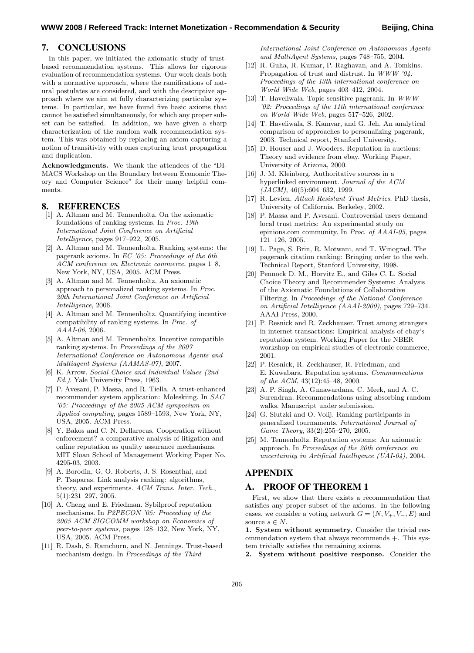# **7. CONCLUSIONS**

In this paper, we initiated the axiomatic study of trustbased recommendation systems. This allows for rigorous evaluation of recommendation systems. Our work deals both with a normative approach, where the ramifications of natural postulates are considered, and with the descriptive approach where we aim at fully characterizing particular systems. In particular, we have found five basic axioms that cannot be satisfied simultaneously, for which any proper subset can be satisfied. In addition, we have given a sharp characterization of the random walk recommendation system. This was obtained by replacing an axiom capturing a notion of transitivity with ones capturing trust propagation and duplication.

**Acknowledgments.** We thank the attendees of the "DI-MACS Workshop on the Boundary between Economic Theory and Computer Science" for their many helpful comments.

# **8. REFERENCES**

- [1] A. Altman and M. Tennenholtz. On the axiomatic foundations of ranking systems. In *Proc. 19th International Joint Conference on Artificial Intelligence*, pages 917–922, 2005.
- [2] A. Altman and M. Tennenholtz. Ranking systems: the pagerank axioms. In *EC '05: Proceedings of the 6th ACM conference on Electronic commerce*, pages 1–8, New York, NY, USA, 2005. ACM Press.
- [3] A. Altman and M. Tennenholtz. An axiomatic approach to personalized ranking systems. In *Proc. 20th International Joint Conference on Artificial Intelligence*, 2006.
- [4] A. Altman and M. Tennenholtz. Quantifying incentive compatibility of ranking systems. In *Proc. of AAAI-06*, 2006.
- [5] A. Altman and M. Tennenholtz. Incentive compatible ranking systems. In *Proceedings of the 2007 International Conference on Autonomous Agents and Multiagent Systems (AAMAS-07)*, 2007.
- [6] K. Arrow. *Social Choice and Individual Values (2nd Ed.)*. Yale University Press, 1963.
- [7] P. Avesani, P. Massa, and R. Tiella. A trust-enhanced recommender system application: Moleskiing. In *SAC '05: Proceedings of the 2005 ACM symposium on Applied computing*, pages 1589–1593, New York, NY, USA, 2005. ACM Press.
- [8] Y. Bakos and C. N. Dellarocas. Cooperation without enforcement? a comparative analysis of litigation and online reputation as quality assurance mechanisms. MIT Sloan School of Management Working Paper No. 4295-03, 2003.
- [9] A. Borodin, G. O. Roberts, J. S. Rosenthal, and P. Tsaparas. Link analysis ranking: algorithms, theory, and experiments. *ACM Trans. Inter. Tech.*, 5(1):231–297, 2005.
- [10] A. Cheng and E. Friedman. Sybilproof reputation mechanisms. In *P2PECON '05: Proceeding of the 2005 ACM SIGCOMM workshop on Economics of peer-to-peer systems*, pages 128–132, New York, NY, USA, 2005. ACM Press.
- [11] R. Dash, S. Ramchurn, and N. Jennings. Trust-based mechanism design. In *Proceedings of the Third*

*International Joint Conference on Autonomous Agents and MultiAgent Systems*, pages 748–755, 2004.

- [12] R. Guha, R. Kumar, P. Raghavan, and A. Tomkins. Propagation of trust and distrust. In *WWW '04: Proceedings of the 13th international conference on World Wide Web*, pages 403–412, 2004.
- [13] T. Haveliwala. Topic-sensitive pagerank. In *WWW '02: Proceedings of the 11th international conference on World Wide Web*, pages 517–526, 2002.
- [14] T. Haveliwala, S. Kamvar, and G. Jeh. An analytical comparison of approaches to personalizing pagerank, 2003. Technical report, Stanford University.
- [15] D. Houser and J. Wooders. Reputation in auctions: Theory and evidence from ebay. Working Paper, University of Arizona, 2000.
- [16] J. M. Kleinberg. Authoritative sources in a hyperlinked environment. *Journal of the ACM (JACM)*, 46(5):604–632, 1999.
- [17] R. Levien. *Attack Resistant Trust Metrics*. PhD thesis, University of California, Berkeley, 2002.
- [18] P. Massa and P. Avesani. Controversial users demand local trust metrics: An experimental study on epinions.com community. In *Proc. of AAAI-05*, pages 121–126, 2005.
- [19] L. Page, S. Brin, R. Motwani, and T. Winograd. The pagerank citation ranking: Bringing order to the web. Technical Report, Stanford University, 1998.
- [20] Pennock D. M., Horvitz E., and Giles C. L. Social Choice Theory and Recommender Systems: Analysis of the Axiomatic Foundations of Collaborative Filtering. In *Proceedings of the National Conference on Artificial Intelligence (AAAI-2000)*, pages 729–734. AAAI Press, 2000.
- [21] P. Resnick and R. Zeckhauser. Trust among strangers in internet transactions: Empirical analysis of ebay's reputation system. Working Paper for the NBER workshop on empirical studies of electronic commerce, 2001.
- [22] P. Resnick, R. Zeckhauser, R. Friedman, and E. Kuwabara. Reputation systems. *Communications of the ACM*, 43(12):45–48, 2000.
- [23] A. P. Singh, A. Gunawardana, C. Meek, and A. C. Surendran. Recommendations using absorbing random walks. Manuscript under submission.
- [24] G. Slutzki and O. Volij. Ranking participants in generalized tournaments. *International Journal of Game Theory*, 33(2):255–270, 2005.
- [25] M. Tennenholtz. Reputation systems: An axiomatic approach. In *Proceedings of the 20th conference on uncertainity in Artificial Intelligence (UAI-04)*, 2004.

# **APPENDIX**

# **A. PROOF OF THEOREM 1**

First, we show that there exists a recommendation that satisfies any proper subset of the axioms. In the following cases, we consider a voting network  $G = (N, V_+, V_-, E)$  and source  $s \in N$ .

**1. System without symmetry.** Consider the trivial recommendation system that always recommends +. This system trivially satisfies the remaining axioms.

**2. System without positive response.** Consider the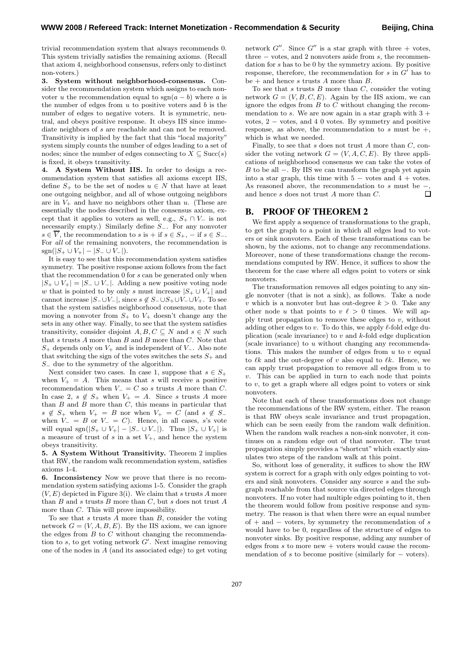trivial recommendation system that always recommends 0. This system trivially satisfies the remaining axioms. (Recall that axiom 4, neighborhood consensus, refers only to distinct non-voters.)

**3. System without neighborhood-consensus.** Consider the recommendation system which assigns to each nonvoter u the recommendation equal to  $sgn(a - b)$  where a is the number of edges from  $u$  to positive voters and  $b$  is the number of edges to negative voters. It is symmetric, neutral, and obeys positive response. It obeys IIS since immediate neighbors of s are reachable and can not be removed. Transitivity is implied by the fact that this "local majority" system simply counts the number of edges leading to a set of nodes; since the number of edges connecting to  $X \subseteq \text{Succ}(s)$ is fixed, it obeys transitivity.

**4. A System Without IIS.** In order to design a recommendation system that satisfies all axioms except IIS, define  $S_+$  to be the set of nodes  $u \in N$  that have at least one outgoing neighbor, and all of whose outgoing neighbors are in  $V_+$  and have no neighbors other than u. (These are essentially the nodes described in the consensus axiom, except that it applies to voters as well, e.g.,  $S_+ \cap V_-$  is not necessarily empty.) Similarly define S−. For any nonvoter  $s \in \overline{V}$ , the recommendation to s is + if  $s \in S_+$ , - if  $s \in S_-$ . For *all* of the remaining nonvoters, the recommendation is  $sgn(|S_+ \cup V_+|-|S_- \cup V_-|).$ 

It is easy to see that this recommendation system satisfies symmetry. The positive response axiom follows from the fact that the recommendation 0 for s can be generated only when  $|S_+ \cup V_+| = |S_- \cup V_-|$ . Adding a new positive voting node w that is pointed to by only s must increase  $|S_+ \cup V_+|$  and cannot increase  $|S_-\cup V_-|$ , since  $s \notin S_-\cup S_+\cup V_-\cup V_+$ . To see that the system satisfies neighborhood consensus, note that moving a nonvoter from  $S_+$  to  $V_+$  doesn't change any the sets in any other way. Finally, to see that the system satisfies transitivity, consider disjoint  $A, B, C \subseteq N$  and  $s \in N$  such that  $s$  trusts  $A$  more than  $B$  and  $B$  more than  $C$ . Note that  $S_+$  depends only on  $V_+$  and is independent of  $V_-.$  Also note that switching the sign of the votes switches the sets  $S_+$  and S<sup>−</sup> due to the symmetry of the algorithm.

Next consider two cases. In case 1, suppose that  $s \in S_+$ when  $V_+ = A$ . This means that s will receive a positive recommendation when  $V = C$  so s trusts A more than C. In case 2,  $s \notin S_+$  when  $V_+ = A$ . Since s trusts A more than  $B$  and  $B$  more than  $C$ , this means in particular that  $s \notin S_+$  when  $V_+ = B$  nor when  $V_+ = C$  (and  $s \notin S_$ when  $V_-= B$  or  $V_-= C$ ). Hence, in all cases, s's vote will equal sgn( $|S_+ \cup V_+|$  –  $|S_- \cup V_-|$ ). Thus  $|S_+ \cup V_+|$  is a measure of trust of s in a set  $V_{+}$ , and hence the system obeys transitivity.

**5. A System Without Transitivity.** Theorem 2 implies that RW, the random walk recommendation system, satisfies axioms 1-4.

**6. Inconsistency** Now we prove that there is no recommendation system satisfying axioms 1-5. Consider the graph  $(V, E)$  depicted in Figure 3(i). We claim that s trusts A more than  $B$  and  $s$  trusts  $B$  more than  $C$ , but  $s$  does not trust  $A$ more than C. This will prove impossibility.

To see that  $s$  trusts  $A$  more than  $B$ , consider the voting network  $G = (V, A, B, E)$ . By the IIS axiom, we can ignore the edges from  $B$  to  $C$  without changing the recommendation to s, to get voting network  $G'$ . Next imagine removing one of the nodes in A (and its associated edge) to get voting network  $G''$ . Since  $G''$  is a star graph with three + votes, three  $-$  votes, and 2 nonvoters aside from  $s$ , the recommendation for s has to be 0 by the symmetry axiom. By positive response, therefore, the recommendation for  $s$  in  $G'$  has to be  $+$  and hence s trusts A more than B.

To see that  $s$  trusts  $B$  more than  $C$ , consider the voting network  $G = (V, B, C, E)$ . Again by the IIS axiom, we can ignore the edges from  $B$  to  $C$  without changing the recommendation to s. We are now again in a star graph with  $3 +$ votes, 2 − votes, and 4 0 votes. By symmetry and positive response, as above, the recommendation to s must be  $+$ , which is what we needed.

Finally, to see that  $s$  does not trust  $A$  more than  $C$ , consider the voting network  $G = (V, A, C, E)$ . By three applications of neighborhood consensus we can take the votes of B to be all −. By IIS we can transform the graph yet again into a star graph, this time with  $5 -$  votes and  $4 +$  votes. As reasoned above, the recommendation to  $s$  must be and hence s does not trust A more than C.  $\Box$ 

#### **B. PROOF OF THEOREM 2**

We first apply a sequence of transformations to the graph, to get the graph to a point in which all edges lead to voters or sink nonvoters. Each of these transformations can be shown, by the axioms, not to change any recommendations. Moreover, none of these transformations change the recommendations computed by RW. Hence, it suffices to show the theorem for the case where all edges point to voters or sink nonvoters.

The transformation removes all edges pointing to any single nonvoter (that is not a sink), as follows. Take a node v which is a nonvoter but has out-degree  $k > 0$ . Take any other node u that points to  $v \ell > 0$  times. We will apply trust propagation to remove these edges to  $v$ , without adding other edges to  $v$ . To do this, we apply  $\ell$ -fold edge duplication (scale invariance) to  $v$  and  $k$ -fold edge duplication (scale invariance) to u without changing any recommendations. This makes the number of edges from  $u$  to  $v$  equal to  $\ell k$  and the out-degree of v also equal to  $\ell k$ . Hence, we can apply trust propagation to remove all edges from u to  $v$ . This can be applied in turn to each node that points to  $v$ , to get a graph where all edges point to voters or sink nonvoters.

Note that each of these transformations does not change the recommendations of the RW system, either. The reason is that RW obeys scale invariance and trust propagation, which can be seen easily from the random walk definition. When the random walk reaches a non-sink nonvoter, it continues on a random edge out of that nonvoter. The trust propagation simply provides a "shortcut" which exactly simulates two steps of the random walk at this point.

So, without loss of generality, it suffices to show the RW system is correct for a graph with only edges pointing to voters and sink nonvoters. Consider any source s and the subgraph reachable from that source via directed edges through nonvoters. If no voter had multiple edges pointing to it, then the theorem would follow from positive response and symmetry. The reason is that when there were an equal number of  $+$  and  $-$  voters, by symmetry the recommendation of s would have to be 0, regardless of the structure of edges to nonvoter sinks. By positive response, adding any number of edges from  $s$  to more new  $+$  voters would cause the recommendation of s to become positive (similarly for  $-$  voters).